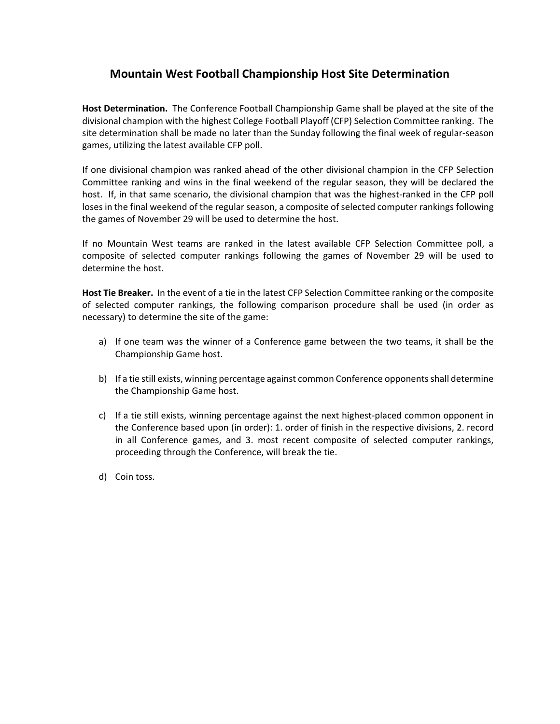## **Mountain West Football Championship Host Site Determination**

**Host Determination.** The Conference Football Championship Game shall be played at the site of the divisional champion with the highest College Football Playoff (CFP) Selection Committee ranking. The site determination shall be made no later than the Sunday following the final week of regular‐season games, utilizing the latest available CFP poll.

If one divisional champion was ranked ahead of the other divisional champion in the CFP Selection Committee ranking and wins in the final weekend of the regular season, they will be declared the host. If, in that same scenario, the divisional champion that was the highest-ranked in the CFP poll loses in the final weekend of the regular season, a composite of selected computer rankings following the games of November 29 will be used to determine the host.

If no Mountain West teams are ranked in the latest available CFP Selection Committee poll, a composite of selected computer rankings following the games of November 29 will be used to determine the host.

**Host Tie Breaker.** In the event of a tie in the latest CFP Selection Committee ranking or the composite of selected computer rankings, the following comparison procedure shall be used (in order as necessary) to determine the site of the game:

- a) If one team was the winner of a Conference game between the two teams, it shall be the Championship Game host.
- b) If a tie still exists, winning percentage against common Conference opponentsshall determine the Championship Game host.
- c) If a tie still exists, winning percentage against the next highest-placed common opponent in the Conference based upon (in order): 1. order of finish in the respective divisions, 2. record in all Conference games, and 3. most recent composite of selected computer rankings, proceeding through the Conference, will break the tie.
- d) Coin toss.